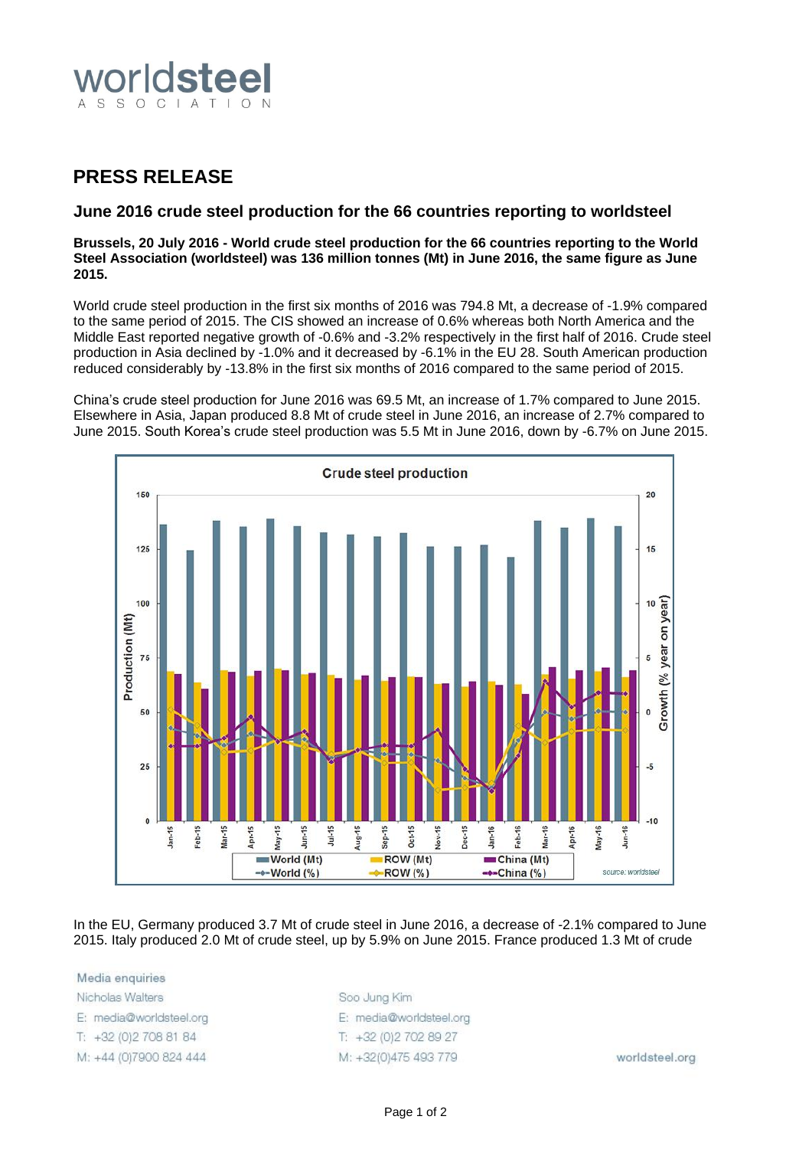

## **PRESS RELEASE**

## **June 2016 crude steel production for the 66 countries reporting to worldsteel**

**Brussels, 20 July 2016 - World crude steel production for the 66 countries reporting to the World Steel Association (worldsteel) was 136 million tonnes (Mt) in June 2016, the same figure as June 2015.**

World crude steel production in the first six months of 2016 was 794.8 Mt, a decrease of -1.9% compared to the same period of 2015. The CIS showed an increase of 0.6% whereas both North America and the Middle East reported negative growth of -0.6% and -3.2% respectively in the first half of 2016. Crude steel production in Asia declined by -1.0% and it decreased by -6.1% in the EU 28. South American production reduced considerably by -13.8% in the first six months of 2016 compared to the same period of 2015.

China's crude steel production for June 2016 was 69.5 Mt, an increase of 1.7% compared to June 2015. Elsewhere in Asia, Japan produced 8.8 Mt of crude steel in June 2016, an increase of 2.7% compared to June 2015. South Korea's crude steel production was 5.5 Mt in June 2016, down by -6.7% on June 2015.



In the EU, Germany produced 3.7 Mt of crude steel in June 2016, a decrease of -2.1% compared to June 2015. Italy produced 2.0 Mt of crude steel, up by 5.9% on June 2015. France produced 1.3 Mt of crude

Media enquiries Nicholas Walters E: media@worldsteel.org T: +32 (0) 2 708 81 84 M: +44 (0)7900 824 444

Soo Jung Kim E: media@worldsteel.org T: +32 (0) 2 70 2 89 27 M: +32(0)475 493 779

worldsteel.org